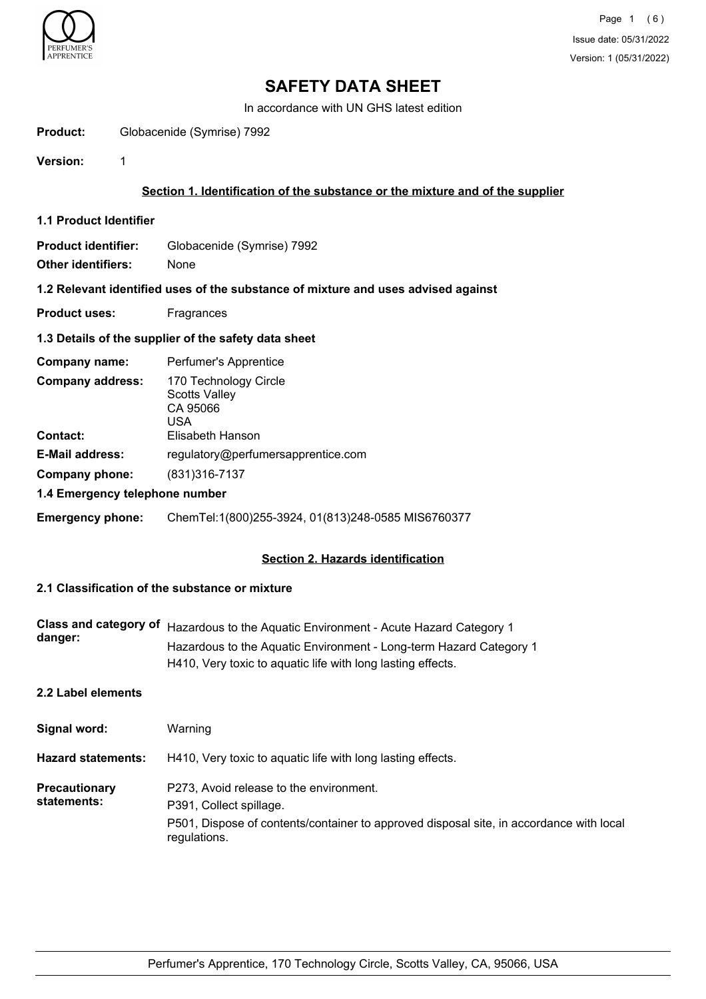

# **SAFETY DATA SHEET**

In accordance with UN GHS latest edition

**Product:** Globacenide (Symrise) 7992

**Version:** 1

# **Section 1. Identification of the substance or the mixture and of the supplier**

**1.1 Product Identifier**

**Product identifier:** Globacenide (Symrise) 7992

**Other identifiers:** None

# **1.2 Relevant identified uses of the substance of mixture and uses advised against**

**Product uses:** Fragrances

# **1.3 Details of the supplier of the safety data sheet**

| Company name:                  | Perfumer's Apprentice                                            |
|--------------------------------|------------------------------------------------------------------|
| <b>Company address:</b>        | 170 Technology Circle<br><b>Scotts Valley</b><br>CA 95066<br>USA |
| <b>Contact:</b>                | Elisabeth Hanson                                                 |
| <b>E-Mail address:</b>         | regulatory@perfumersapprentice.com                               |
| Company phone:                 | (831) 316-7137                                                   |
| 1.4 Emergency telephone number |                                                                  |

# **Emergency phone:** ChemTel:1(800)255-3924, 01(813)248-0585 MIS6760377

# **Section 2. Hazards identification**

# **2.1 Classification of the substance or mixture**

| Class and category of<br>danger: | Hazardous to the Aquatic Environment - Acute Hazard Category 1<br>Hazardous to the Aquatic Environment - Long-term Hazard Category 1<br>H410, Very toxic to aquatic life with long lasting effects. |
|----------------------------------|-----------------------------------------------------------------------------------------------------------------------------------------------------------------------------------------------------|
| 2.2 Label elements               |                                                                                                                                                                                                     |
| Signal word:                     | Warning                                                                                                                                                                                             |
| <b>Hazard statements:</b>        | H410, Very toxic to aquatic life with long lasting effects.                                                                                                                                         |
| Precautionary<br>statements:     | P273, Avoid release to the environment.<br>P391, Collect spillage.<br>P501, Dispose of contents/container to approved disposal site, in accordance with local<br>regulations.                       |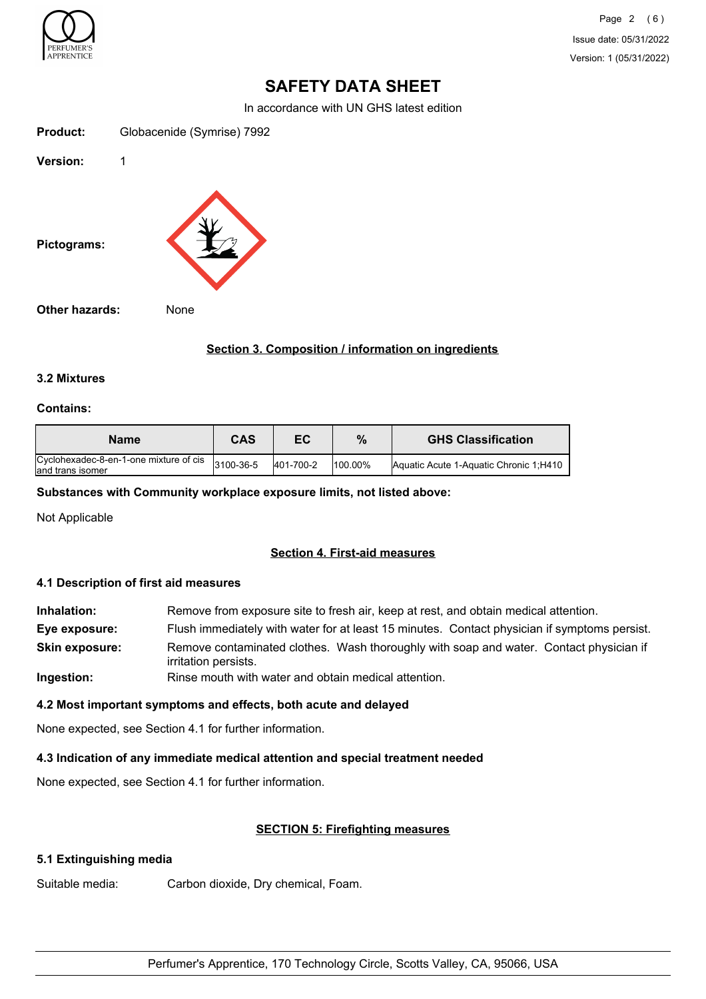

Page 2 (6) Issue date: 05/31/2022 Version: 1 (05/31/2022)

# **SAFETY DATA SHEET**

In accordance with UN GHS latest edition

| <b>Product:</b> | Globacenide (Symrise) 7992 |
|-----------------|----------------------------|
| <b>Version:</b> |                            |



**Other hazards:** None

#### **Section 3. Composition / information on ingredients**

#### **3.2 Mixtures**

#### **Contains:**

| <b>Name</b>                                                 | CAS       | ЕC        | %        | <b>GHS Classification</b>              |
|-------------------------------------------------------------|-----------|-----------|----------|----------------------------------------|
| Cyclohexadec-8-en-1-one mixture of cis<br>land trans isomer | 3100-36-5 | 401-700-2 | 1100.00% | Aquatic Acute 1-Aquatic Chronic 1:H410 |

#### **Substances with Community workplace exposure limits, not listed above:**

Not Applicable

# **Section 4. First-aid measures**

#### **4.1 Description of first aid measures**

| Inhalation:           | Remove from exposure site to fresh air, keep at rest, and obtain medical attention.                            |
|-----------------------|----------------------------------------------------------------------------------------------------------------|
| Eye exposure:         | Flush immediately with water for at least 15 minutes. Contact physician if symptoms persist.                   |
| <b>Skin exposure:</b> | Remove contaminated clothes. Wash thoroughly with soap and water. Contact physician if<br>irritation persists. |
| Ingestion:            | Rinse mouth with water and obtain medical attention.                                                           |

# **4.2 Most important symptoms and effects, both acute and delayed**

None expected, see Section 4.1 for further information.

# **4.3 Indication of any immediate medical attention and special treatment needed**

None expected, see Section 4.1 for further information.

# **SECTION 5: Firefighting measures**

# **5.1 Extinguishing media**

Suitable media: Carbon dioxide, Dry chemical, Foam.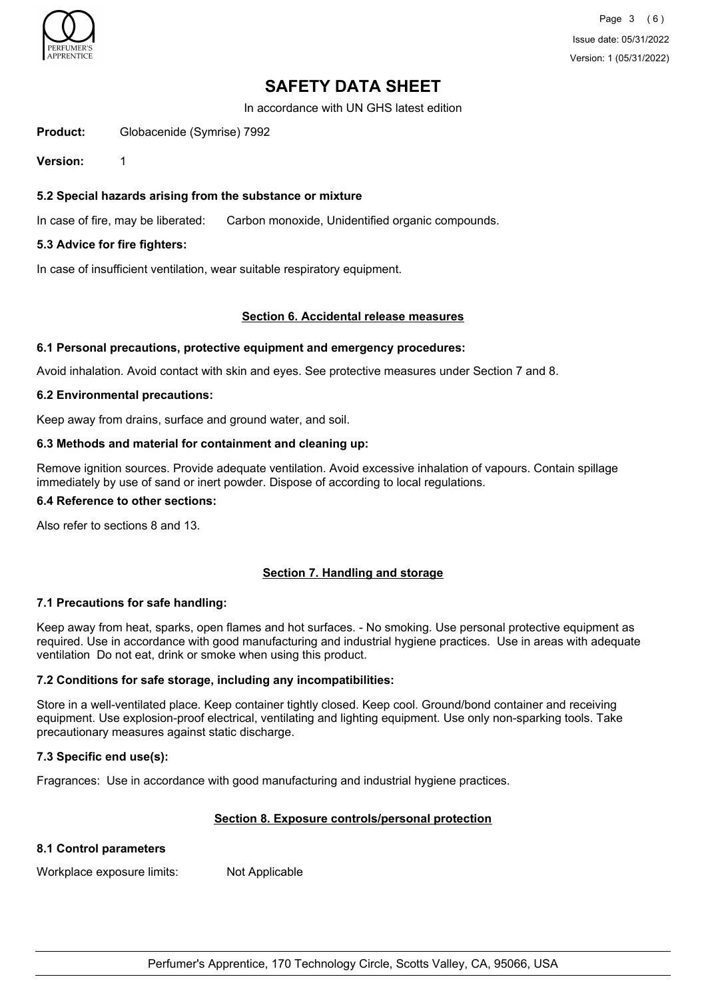

Page 3 (6) Issue date: 05/31/2022 Version: 1 (05/31/2022)

# **SAFETY DATA SHEET**

In accordance with UN GHS latest edition

**Product:** Globacenide (Symrise) 7992

**Version:** 1

# **5.2 Special hazards arising from the substance or mixture**

In case of fire, may be liberated: Carbon monoxide, Unidentified organic compounds.

#### **5.3 Advice for fire fighters:**

In case of insufficient ventilation, wear suitable respiratory equipment.

#### **Section 6. Accidental release measures**

#### **6.1 Personal precautions, protective equipment and emergency procedures:**

Avoid inhalation. Avoid contact with skin and eyes. See protective measures under Section 7 and 8.

#### **6.2 Environmental precautions:**

Keep away from drains, surface and ground water, and soil.

#### **6.3 Methods and material for containment and cleaning up:**

Remove ignition sources. Provide adequate ventilation. Avoid excessive inhalation of vapours. Contain spillage immediately by use of sand or inert powder. Dispose of according to local regulations.

# **6.4 Reference to other sections:**

Also refer to sections 8 and 13.

# **Section 7. Handling and storage**

#### **7.1 Precautions for safe handling:**

Keep away from heat, sparks, open flames and hot surfaces. - No smoking. Use personal protective equipment as required. Use in accordance with good manufacturing and industrial hygiene practices. Use in areas with adequate ventilation Do not eat, drink or smoke when using this product.

# **7.2 Conditions for safe storage, including any incompatibilities:**

Store in a well-ventilated place. Keep container tightly closed. Keep cool. Ground/bond container and receiving equipment. Use explosion-proof electrical, ventilating and lighting equipment. Use only non-sparking tools. Take precautionary measures against static discharge.

#### **7.3 Specific end use(s):**

Fragrances: Use in accordance with good manufacturing and industrial hygiene practices.

# **Section 8. Exposure controls/personal protection**

#### **8.1 Control parameters**

Workplace exposure limits: Not Applicable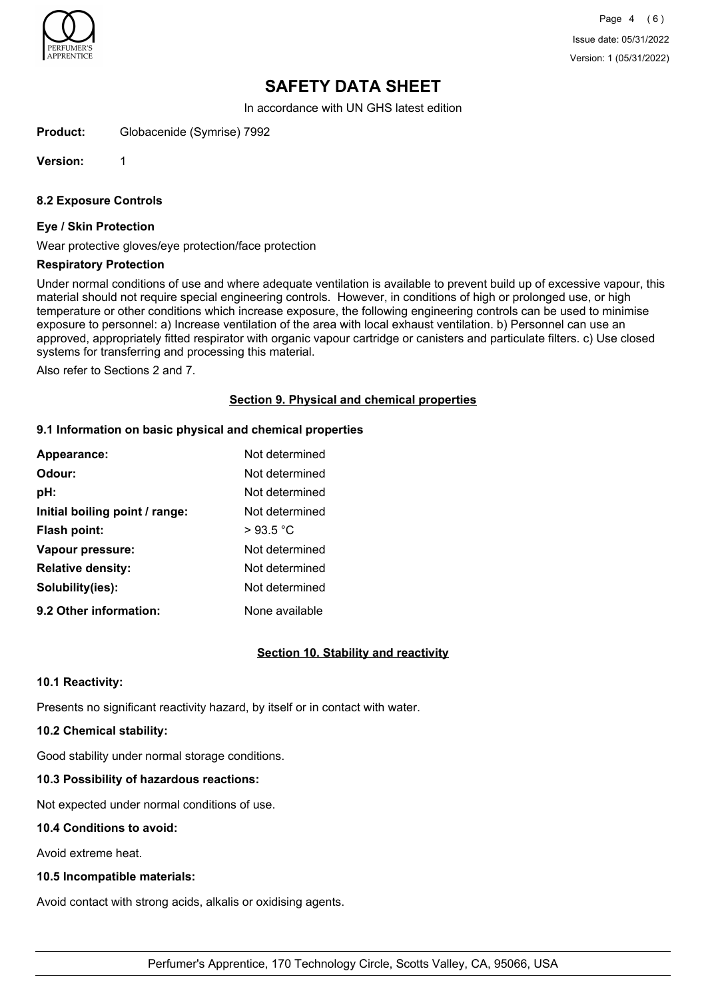

Page 4 (6) Issue date: 05/31/2022 Version: 1 (05/31/2022)

# **SAFETY DATA SHEET**

In accordance with UN GHS latest edition

**Product:** Globacenide (Symrise) 7992

**Version:** 1

**8.2 Exposure Controls**

#### **Eye / Skin Protection**

Wear protective gloves/eye protection/face protection

#### **Respiratory Protection**

Under normal conditions of use and where adequate ventilation is available to prevent build up of excessive vapour, this material should not require special engineering controls. However, in conditions of high or prolonged use, or high temperature or other conditions which increase exposure, the following engineering controls can be used to minimise exposure to personnel: a) Increase ventilation of the area with local exhaust ventilation. b) Personnel can use an approved, appropriately fitted respirator with organic vapour cartridge or canisters and particulate filters. c) Use closed systems for transferring and processing this material.

Also refer to Sections 2 and 7.

# **Section 9. Physical and chemical properties**

#### **9.1 Information on basic physical and chemical properties**

| Appearance:                    | Not determined |
|--------------------------------|----------------|
| Odour:                         | Not determined |
| pH:                            | Not determined |
| Initial boiling point / range: | Not determined |
| Flash point:                   | >93.5 °C       |
| Vapour pressure:               | Not determined |
| <b>Relative density:</b>       | Not determined |
| Solubility(ies):               | Not determined |
| 9.2 Other information:         | None available |

# **Section 10. Stability and reactivity**

# **10.1 Reactivity:**

Presents no significant reactivity hazard, by itself or in contact with water.

# **10.2 Chemical stability:**

Good stability under normal storage conditions.

# **10.3 Possibility of hazardous reactions:**

Not expected under normal conditions of use.

# **10.4 Conditions to avoid:**

Avoid extreme heat.

# **10.5 Incompatible materials:**

Avoid contact with strong acids, alkalis or oxidising agents.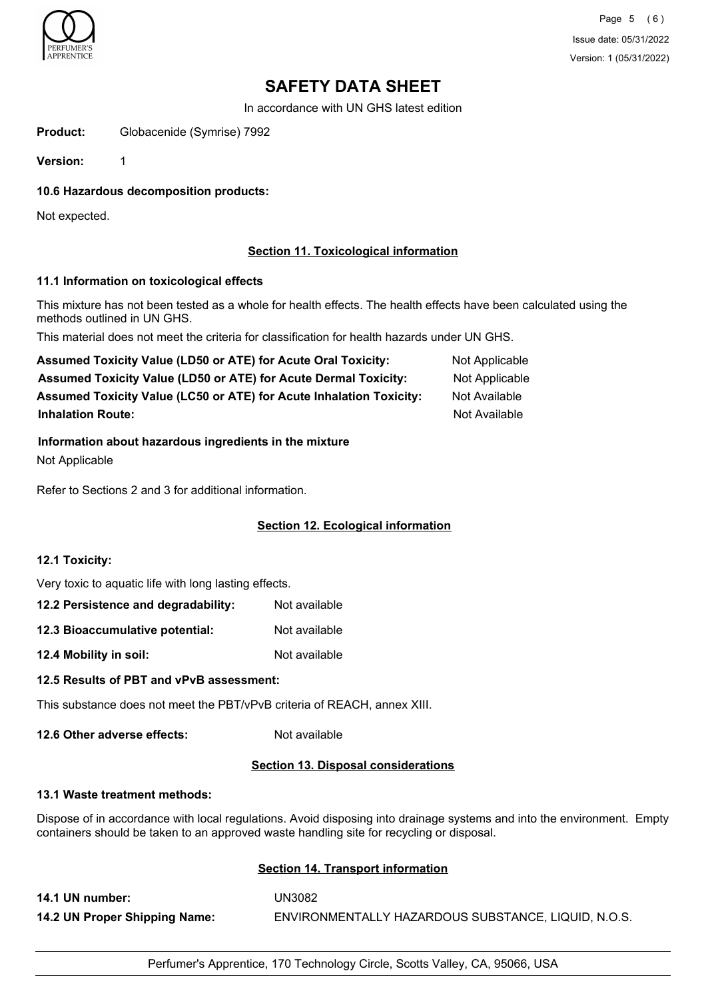

# **SAFETY DATA SHEET**

In accordance with UN GHS latest edition

**Product:** Globacenide (Symrise) 7992

**Version:** 1

**10.6 Hazardous decomposition products:**

Not expected.

# **Section 11. Toxicological information**

# **11.1 Information on toxicological effects**

This mixture has not been tested as a whole for health effects. The health effects have been calculated using the methods outlined in UN GHS.

This material does not meet the criteria for classification for health hazards under UN GHS.

| <b>Assumed Toxicity Value (LD50 or ATE) for Acute Oral Toxicity:</b>       | Not Applicable |
|----------------------------------------------------------------------------|----------------|
| <b>Assumed Toxicity Value (LD50 or ATE) for Acute Dermal Toxicity:</b>     | Not Applicable |
| <b>Assumed Toxicity Value (LC50 or ATE) for Acute Inhalation Toxicity:</b> | Not Available  |
| <b>Inhalation Route:</b>                                                   | Not Available  |

**Information about hazardous ingredients in the mixture** Not Applicable

Refer to Sections 2 and 3 for additional information.

# **Section 12. Ecological information**

#### **12.1 Toxicity:**

Very toxic to aquatic life with long lasting effects.

- **12.2 Persistence and degradability:** Not available
- **12.3 Bioaccumulative potential:** Not available
- **12.4 Mobility in soil:** Not available

# **12.5 Results of PBT and vPvB assessment:**

This substance does not meet the PBT/vPvB criteria of REACH, annex XIII.

**12.6 Other adverse effects:** Not available

# **Section 13. Disposal considerations**

# **13.1 Waste treatment methods:**

Dispose of in accordance with local regulations. Avoid disposing into drainage systems and into the environment. Empty containers should be taken to an approved waste handling site for recycling or disposal.

# **Section 14. Transport information**

**14.1 UN number:** UN3082 **14.2 UN Proper Shipping Name:** ENVIRONMENTALLY HAZARDOUS SUBSTANCE, LIQUID, N.O.S.